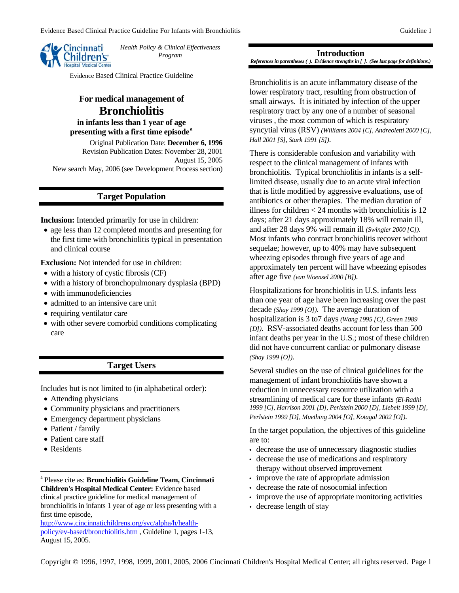

*Health Policy & Clinical Effectiveness Program* 

Evidence Based Clinical Practice Guideline

# **For medical management of Bronchiolitis**

**in infants less than 1 year of age presenting with a first time episode[a](#page-0-0)**

Original Publication Date: **December 6, 1996**  Revision Publication Dates: November 28, 2001 August 15, 2005 New search May, 2006 (see Development Process section)

# **Target Population**

**Inclusion:** Intended primarily for use in children:

• age less than 12 completed months and presenting for the first time with bronchiolitis typical in presentation and clinical course

**Exclusion:** Not intended for use in children:

- with a history of cystic fibrosis (CF)
- with a history of bronchopulmonary dysplasia (BPD)
- with immunodeficiencies
- admitted to an intensive care unit
- requiring ventilator care
- with other severe comorbid conditions complicating care

# **Target Users**

Includes but is not limited to (in alphabetical order):

- Attending physicians
- Community physicians and practitioners
- Emergency department physicians
- Patient / family
- Patient care staff
- Residents

 $\overline{a}$ 

[http://www.cincinnatichildrens.org/svc/alpha/h/health](http://www.cincinnatichildrens.org/svc/alpha/h/health-policy/ev-based/bronchiolitis.htm)[policy/ev-based/bronchiolitis.htm](http://www.cincinnatichildrens.org/svc/alpha/h/health-policy/ev-based/bronchiolitis.htm) , Guideline 1, pages 1-13, August 15, 2005.

**Introduction**  *References in parentheses ( ). Evidence strengths in [ ]. (See last page for definitions.)*

 Bronchiolitis is an acute inflammatory disease of the lower respiratory tract, resulting from obstruction of small airways. It is initiated by infection of the upper respiratory tract by any one of a number of seasonal viruses , the most common of which is respiratory syncytial virus (RSV) *(Williams 2004 [C], Andreoletti 2000 [C], Hall 2001 [S], Stark 1991 [S])*.

There is considerable confusion and variability with respect to the clinical management of infants with bronchiolitis. Typical bronchiolitis in infants is a selflimited disease, usually due to an acute viral infection that is little modified by aggressive evaluations, use of antibiotics or other therapies. The median duration of illness for children  $<$  24 months with bronchiolitis is 12 days; after 21 days approximately 18% will remain ill, and after 28 days 9% will remain ill *(Swingler 2000 [C])*. Most infants who contract bronchiolitis recover without sequelae; however, up to 40% may have subsequent wheezing episodes through five years of age and approximately ten percent will have wheezing episodes after age five *(van Woensel 2000 [B])*.

Hospitalizations for bronchiolitis in U.S. infants less than one year of age have been increasing over the past decade *(Shay 1999 [O])*. The average duration of hospitalization is 3 to7 days *(Wang 1995 [C], Green 1989 [D])*. RSV-associated deaths account for less than 500 infant deaths per year in the U.S.; most of these children did not have concurrent cardiac or pulmonary disease *(Shay 1999 [O])*.

Several studies on the use of clinical guidelines for the management of infant bronchiolitis have shown a reduction in unnecessary resource utilization with a streamlining of medical care for these infants *(El-Radhi 1999 [C], Harrison 2001 [D], Perlstein 2000 [D], Liebelt 1999 [D], Perlstein 1999 [D], Muething 2004 [O], Kotagal 2002 [O])*.

In the target population, the objectives of this guideline are to:

- decrease the use of unnecessary diagnostic studies
- decrease the use of medications and respiratory therapy without observed improvement
- improve the rate of appropriate admission
- decrease the rate of nosocomial infection
- improve the use of appropriate monitoring activities
- decrease length of stay

<span id="page-0-0"></span>a Please cite as: **Bronchiolitis Guideline Team, Cincinnati Children's Hospital Medical Center:** Evidence based clinical practice guideline for medical management of bronchiolitis in infants 1 year of age or less presenting with a first time episode,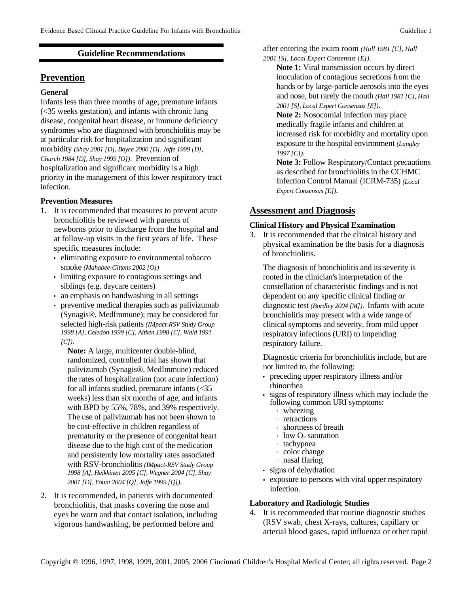# **Guideline Recommendations**

# **Prevention**

# **General**

Infants less than three months of age, premature infants (<35 weeks gestation), and infants with chronic lung disease, congenital heart disease, or immune deficiency syndromes who are diagnosed with bronchiolitis may be at particular risk for hospitalization and significant morbidity *(Shay 2001 [D], Boyce 2000 [D], Joffe 1999 [D], Church 1984 [D], Shay 1999 [O])*. Prevention of hospitalization and significant morbidity is a high priority in the management of this lower respiratory tract infection.

### **Prevention Measures**

- 1. It is recommended that measures to prevent acute bronchiolitis be reviewed with parents of newborns prior to discharge from the hospital and at follow-up visits in the first years of life. These specific measures include:
	- eliminating exposure to environmental tobacco smoke *(Mahabee-Gittens 2002 [O])*
	- limiting exposure to contagious settings and siblings (e.g. daycare centers)
	- an emphasis on handwashing in all settings
	- preventive medical therapies such as palivizumab (Synagis®, MedImmune); may be considered for selected high-risk patients *(IMpact-RSV Study Group 1998 [A], Celedon 1999 [C], Aitken 1998 [C], Wald 1991 [C])*.

**Note:** A large, multicenter double-blind, randomized, controlled trial has shown that palivizumab (Synagis®, MedImmune) reduced the rates of hospitalization (not acute infection) for all infants studied, premature infants (<35 weeks) less than six months of age, and infants with BPD by 55%, 78%, and 39% respectively. The use of palivizumab has not been shown to be cost-effective in children regardless of prematurity or the presence of congenital heart disease due to the high cost of the medication and persistently low mortality rates associated with RSV-bronchiolitis *(IMpact-RSV Study Group 1998 [A], Heikkinen 2005 [C], Wegner 2004 [C], Shay 2001 [D], Yount 2004 [Q], Joffe 1999 [Q])*.

2. It is recommended, in patients with documented bronchiolitis, that masks covering the nose and eyes be worn and that contact isolation, including vigorous handwashing, be performed before and

after entering the exam room *(Hall 1981 [C], Hall* 

*2001 [S], Local Expert Consensus [E])*.

**Note 1:** Viral transmission occurs by direct inoculation of contagious secretions from the hands or by large-particle aerosols into the eyes and nose, but rarely the mouth *(Hall 1981 [C], Hall 2001 [S], Local Expert Consensus [E])*.

**Note 2:** Nosocomial infection may place medically fragile infants and children at increased risk for morbidity and mortality upon exposure to the hospital environment *(Langley 1997 [C])*.

**Note 3:** Follow Respiratory/Contact precautions as described for bronchiolitis in the CCHMC Infection Control Manual (ICRM-735) *(Local Expert Consensus [E])*.

# **Assessment and Diagnosis**

### **Clinical History and Physical Examination**

3. It is recommended that the clinical history and physical examination be the basis for a diagnosis of bronchiolitis.

The diagnosis of bronchiolitis and its severity is rooted in the clinician's interpretation of the constellation of characteristic findings and is not dependent on any specific clinical finding or diagnostic test *(Bordley 2004 [M])*. Infants with acute bronchiolitis may present with a wide range of clinical symptoms and severity, from mild upper respiratory infections (URI) to impending respiratory failure.

Diagnostic criteria for bronchiolitis include, but are not limited to, the following:

- preceding upper respiratory illness and/or rhinorrhea
- signs of respiratory illness which may include the following common URI symptoms:
	- wheezing
	- retractions
	- shortness of breath
	- $\cdot$  low  $O_2$  saturation
	- tachypnea
	- color change
	- nasal flaring
- signs of dehydration
- exposure to persons with viral upper respiratory infection.

# **Laboratory and Radiologic Studies**

4. It is recommended that routine diagnostic studies (RSV swab, chest X-rays, cultures, capillary or arterial blood gases, rapid influenza or other rapid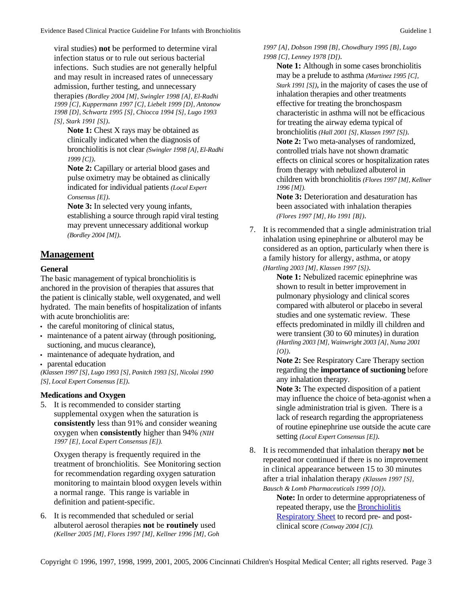viral studies) **not** be performed to determine viral infection status or to rule out serious bacterial infections. Such studies are not generally helpful and may result in increased rates of unnecessary admission, further testing, and unnecessary therapies *(Bordley 2004 [M], Swingler 1998 [A], El-Radhi 1999 [C], Kuppermann 1997 [C], Liebelt 1999 [D], Antonow 1998 [D], Schwartz 1995 [S], Chiocca 1994 [S], Lugo 1993 [S], Stark 1991 [S])*.

**Note 1:** Chest X rays may be obtained as clinically indicated when the diagnosis of bronchiolitis is not clear *(Swingler 1998 [A], El-Radhi 1999 [C])*.

**Note 2:** Capillary or arterial blood gases and pulse oximetry may be obtained as clinically indicated for individual patients *(Local Expert Consensus [E])*.

**Note 3:** In selected very young infants, establishing a source through rapid viral testing may prevent unnecessary additional workup *(Bordley 2004 [M])*.

# **Management**

# **General**

The basic management of typical bronchiolitis is anchored in the provision of therapies that assures that the patient is clinically stable, well oxygenated, and well hydrated. The main benefits of hospitalization of infants with acute bronchiolitis are:

- the careful monitoring of clinical status,
- maintenance of a patent airway (through positioning, suctioning, and mucus clearance),
- maintenance of adequate hydration, and
- parental education

*(Klassen 1997 [S], Lugo 1993 [S], Panitch 1993 [S], Nicolai 1990 [S], Local Expert Consensus [E])*.

# **Medications and Oxygen**

5. It is recommended to consider starting supplemental oxygen when the saturation is **consistently** less than 91% and consider weaning oxygen when **consistently** higher than 94% *(NIH 1997 [E], Local Expert Consensus [E]).*

Oxygen therapy is frequently required in the treatment of bronchiolitis. See Monitoring section for recommendation regarding oxygen saturation monitoring to maintain blood oxygen levels within a normal range. This range is variable in definition and patient-specific.

6. It is recommended that scheduled or serial albuterol aerosol therapies **not** be **routinely** used *(Kellner 2005 [M], Flores 1997 [M], Kellner 1996 [M], Goh*  *1997 [A], Dobson 1998 [B], Chowdhury 1995 [B], Lugo 1998 [C], Lenney 1978 [D])*.

**Note 1:** Although in some cases bronchiolitis may be a prelude to asthma *(Martinez 1995 [C], Stark 1991 [S])*, in the majority of cases the use of inhalation therapies and other treatments effective for treating the bronchospasm characteristic in asthma will not be efficacious for treating the airway edema typical of bronchiolitis *(Hall 2001 [S], Klassen 1997 [S])*. **Note 2:** Two meta-analyses of randomized, controlled trials have not shown dramatic effects on clinical scores or hospitalization rates from therapy with nebulized albuterol in children with bronchiolitis *(Flores 1997 [M], Kellner 1996 [M]).* 

**Note 3:** Deterioration and desaturation has been associated with inhalation therapies *(Flores 1997 [M], Ho 1991 [B])*.

7. It is recommended that a single administration trial inhalation using epinephrine or albuterol may be considered as an option, particularly when there is a family history for allergy, asthma, or atopy *(Hartling 2003 [M], Klassen 1997 [S])*.

> **Note 1:** Nebulized racemic epinephrine was shown to result in better improvement in pulmonary physiology and clinical scores compared with albuterol or placebo in several studies and one systematic review. These effects predominated in mildly ill children and were transient (30 to 60 minutes) in duration *(Hartling 2003 [M], Wainwright 2003 [A], Numa 2001 [O])*.

**Note 2:** See Respiratory Care Therapy section regarding the **importance of suctioning** before any inhalation therapy.

**Note 3:** The expected disposition of a patient may influence the choice of beta-agonist when a single administration trial is given. There is a lack of research regarding the appropriateness of routine epinephrine use outside the acute care setting *(Local Expert Consensus [E])*.

8. It is recommended that inhalation therapy **not** be repeated nor continued if there is no improvement in clinical appearance between 15 to 30 minutes after a trial inhalation therapy *(Klassen 1997 [S], Bausch & Lomb Pharmaceuticals 1999 [O])*.

> **Note:** In order to determine appropriateness of repeated therapy, use the [Bronchiolitis](http://www.cincinnatichildrens.org/NR/rdonlyres/B3EC347E-65AC-490A-BC4C-55C3AF4B76D5/0/BronchRS.pdf)  [Respiratory Sheet](http://www.cincinnatichildrens.org/NR/rdonlyres/B3EC347E-65AC-490A-BC4C-55C3AF4B76D5/0/BronchRS.pdf) to record pre- and postclinical score *(Conway 2004 [C]).*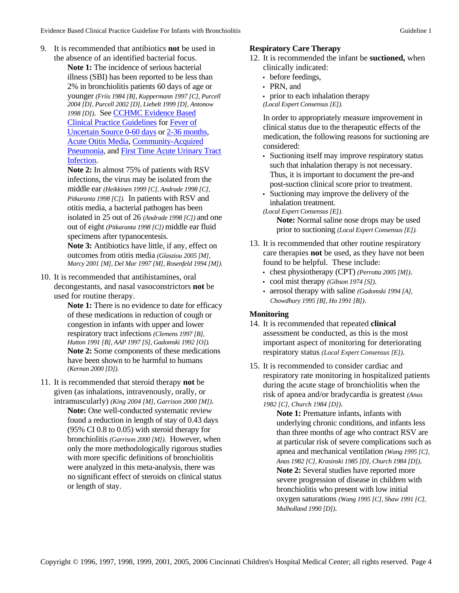- 9. It is recommended that antibiotics **not** be used in the absence of an identified bacterial focus.
	- **Note 1:** The incidence of serious bacterial illness (SBI) has been reported to be less than 2% in bronchiolitis patients 60 days of age or younger *(Friis 1984 [B], Kuppermann 1997 [C], Purcell 2004 [D], Purcell 2002 [D], Liebelt 1999 [D], Antonow 1998 [D])*.See [CCHMC Evidence Based](http://www.cincinnatichildrens.org/svc/alpha/h/health-policy/ev-based)  [Clinical Practice Guidelines](http://www.cincinnatichildrens.org/svc/alpha/h/health-policy/ev-based) for [Fever of](http://www.cincinnatichildrens.org/svc/alpha/h/health-policy/ev-based/feveri.htm)  [Uncertain Source 0-60 days](http://www.cincinnatichildrens.org/svc/alpha/h/health-policy/ev-based/feveri.htm) or [2-36 months](http://www.cincinnatichildrens.org/svc/alpha/h/health-policy/ev-based/feverii.htm), [Acute Otitis Media,](http://www.cincinnatichildrens.org/svc/alpha/h/health-policy/ev-based/otitis.htm) [Community-Acquired](http://www.cincinnatichildrens.org/svc/alpha/h/health-policy/ev-based/pneumonia.htm)  [Pneumonia](http://www.cincinnatichildrens.org/svc/alpha/h/health-policy/ev-based/pneumonia.htm), and [First Time Acute Urinary Tract](http://www.cincinnatichildrens.org/svc/alpha/h/health-policy/ev-based/uti.htm)  [Infection](http://www.cincinnatichildrens.org/svc/alpha/h/health-policy/ev-based/uti.htm).
		- **Note 2:** In almost 75% of patients with RSV infections, the virus may be isolated from the middle ear *(Heikkinen 1999 [C], Andrade 1998 [C], Pitkaranta 1998 [C]).* In patients with RSV and otitis media, a bacterial pathogen has been isolated in 25 out of 26 *(Andrade 1998 [C])* and one out of eight *(Pitkaranta 1998 [C])* middle ear fluid specimens after typanocentesis. **Note 3:** Antibiotics have little, if any, effect on

outcomes from otitis media *(Glasziou 2005 [M], Marcy 2001 [M], Del Mar 1997 [M], Rosenfeld 1994 [M]).*

10. It is recommended that antihistamines, oral decongestants, and nasal vasoconstrictors **not** be used for routine therapy.

> Note 1: There is no evidence to date for efficacy of these medications in reduction of cough or congestion in infants with upper and lower respiratory tract infections *(Clemens 1997 [B], Hutton 1991 [B], AAP 1997 [S], Gadomski 1992 [O]).* **Note 2:** Some components of these medications have been shown to be harmful to humans *(Kernan 2000 [D]).*

11. It is recommended that steroid therapy **not** be given (as inhalations, intravenously, orally, or intramuscularly) *(King 2004 [M], Garrison 2000 [M])*. **Note:** One well-conducted systematic review found a reduction in length of stay of 0.43 days (95% CI 0.8 to 0.05) with steroid therapy for bronchiolitis *(Garrison 2000 [M]).* However, when only the more methodologically rigorous studies with more specific definitions of bronchiolitis were analyzed in this meta-analysis, there was no significant effect of steroids on clinical status or length of stay.

### **Respiratory Care Therapy**

- 12. It is recommended the infant be **suctioned,** when clinically indicated:
	- before feedings,
	- PRN, and
	- prior to each inhalation therapy *(Local Expert Consensus [E]).*

In order to appropriately measure improvement in clinical status due to the therapeutic effects of the medication, the following reasons for suctioning are considered:

- Suctioning itself may improve respiratory status such that inhalation therapy is not necessary. Thus, it is important to document the pre-and post-suction clinical score prior to treatment.
- Suctioning may improve the delivery of the inhalation treatment.
- *(Local Expert Consensus [E])*.

**Note:** Normal saline nose drops may be used prior to suctioning *(Local Expert Consensus [E]).*

- 13. It is recommended that other routine respiratory care therapies **not** be used, as they have not been found to be helpful. These include:
	- chest physiotherapy (CPT) *(Perrotta 2005 [M])*.
	- cool mist therapy *(Gibson 1974 [S])*.
	- aerosol therapy with saline *(Gadomski 1994 [A], Chowdhury 1995 [B], Ho 1991 [B])*.

# **Monitoring**

- 14. It is recommended that repeated **clinical** assessment be conducted, as this is the most important aspect of monitoring for deteriorating respiratory status *(Local Expert Consensus [E])*.
- 15. It is recommended to consider cardiac and respiratory rate monitoring in hospitalized patients during the acute stage of bronchiolitis when the risk of apnea and/or bradycardia is greatest *(Anas 1982 [C], Church 1984 [D])*.

**Note 1:** Premature infants, infants with underlying chronic conditions, and infants less than three months of age who contract RSV are at particular risk of severe complications such as apnea and mechanical ventilation *(Wang 1995 [C], Anas 1982 [C], Krasinski 1985 [D], Church 1984 [D])*. **Note 2:** Several studies have reported more severe progression of disease in children with bronchiolitis who present with low initial oxygen saturations *(Wang 1995 [C], Shaw 1991 [C], Mulholland 1990 [D])*.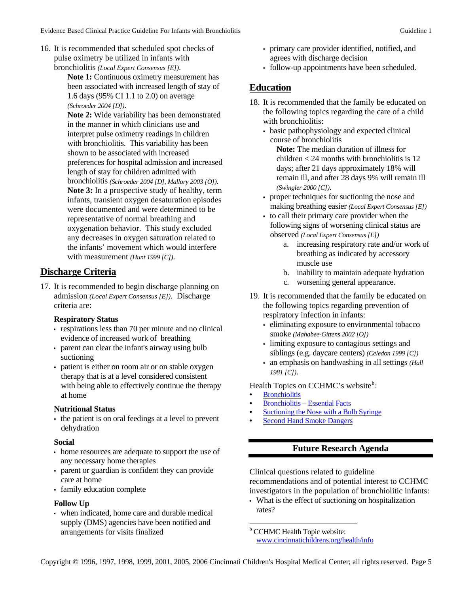16. It is recommended that scheduled spot checks of pulse oximetry be utilized in infants with bronchiolitis *(Local Expert Consensus [E])*.

> **Note 1:** Continuous oximetry measurement has been associated with increased length of stay of 1.6 days (95% CI 1.1 to 2.0) on average *(Schroeder 2004 [D])*.

**Note 2:** Wide variability has been demonstrated in the manner in which clinicians use and interpret pulse oximetry readings in children with bronchiolitis. This variability has been shown to be associated with increased preferences for hospital admission and increased length of stay for children admitted with bronchiolitis *(Schroeder 2004 [D], Mallory 2003 [O])*. **Note 3:** In a prospective study of healthy, term infants, transient oxygen desaturation episodes were documented and were determined to be representative of normal breathing and oxygenation behavior. This study excluded any decreases in oxygen saturation related to the infants' movement which would interfere with measurement *(Hunt 1999 [C])*.

# **Discharge Criteria**

17. It is recommended to begin discharge planning on admission *(Local Expert Consensus [E])*. Discharge criteria are:

#### **Respiratory Status**

- respirations less than 70 per minute and no clinical evidence of increased work of breathing
- parent can clear the infant's airway using bulb suctioning
- patient is either on room air or on stable oxygen therapy that is at a level considered consistent with being able to effectively continue the therapy at home

#### **Nutritional Status**

• the patient is on oral feedings at a level to prevent dehydration

#### **Social**

- home resources are adequate to support the use of any necessary home therapies
- parent or guardian is confident they can provide care at home
- family education complete

# **Follow Up**

<span id="page-4-0"></span>• when indicated, home care and durable medical supply (DMS) agencies have been notified and arrangements for visits finalized

- primary care provider identified, notified, and agrees with discharge decision
- follow-up appointments have been scheduled.

# **Education**

- 18. It is recommended that the family be educated on the following topics regarding the care of a child with bronchiolitis:
	- basic pathophysiology and expected clinical course of bronchiolitis

**Note:** The median duration of illness for children < 24 months with bronchiolitis is 12 days; after 21 days approximately 18% will remain ill, and after 28 days 9% will remain ill *(Swingler 2000 [C])*.

- proper techniques for suctioning the nose and making breathing easier *(Local Expert Consensus [E])*
- to call their primary care provider when the following signs of worsening clinical status are observed *(Local Expert Consensus [E])*
	- a. increasing respiratory rate and/or work of breathing as indicated by accessory muscle use
	- b. inability to maintain adequate hydration
	- c. worsening general appearance.
- 19. It is recommended that the family be educated on the following topics regarding prevention of respiratory infection in infants:
	- eliminating exposure to environmental tobacco smoke *(Mahabee-Gittens 2002 [O])*
	- limiting exposure to contagious settings and siblings (e.g. daycare centers) *(Celedon 1999 [C])*
	- an emphasis on handwashing in all settings *(Hall 1981 [C])*.

Health Topics on CCHMC's we[b](#page-4-0)site<sup>b</sup>:

- **[Bronchiolitis](http://www.cincinnatichildrens.org/health/info/chest/diagnose/bronchiolitis.htm)**
- [Bronchiolitis Essential Facts](http://www.cincinnatichildrens.org/health/info/chest/diagnose/bronchiolitis-facts.htm)
- [Suctioning the Nose with a Bulb Syringe](http://www.cincinnatichildrens.org/health/info/newborn/home/suction.htm)
- **[Second Hand Smoke Dangers](http://www.cincinnatichildrens.org/health/info/growth/well/second-smoke.htm)**

# **Future Research Agenda**

Clinical questions related to guideline recommendations and of potential interest to CCHMC investigators in the population of bronchiolitic infants:

• What is the effect of suctioning on hospitalization rates?

**b** CCHMC Health Topic website: [www.cincinnatichildrens.org/health/info](http://www.cincinnatichildrens.org/health/info)

 $\overline{a}$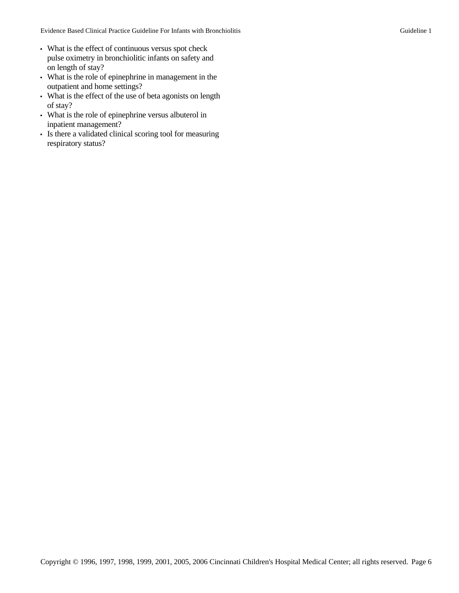- What is the effect of continuous versus spot check pulse oximetry in bronchiolitic infants on safety and on length of stay?
- What is the role of epinephrine in management in the outpatient and home settings?
- What is the effect of the use of beta agonists on length of stay?
- What is the role of epinephrine versus albuterol in inpatient management?
- Is there a validated clinical scoring tool for measuring respiratory status?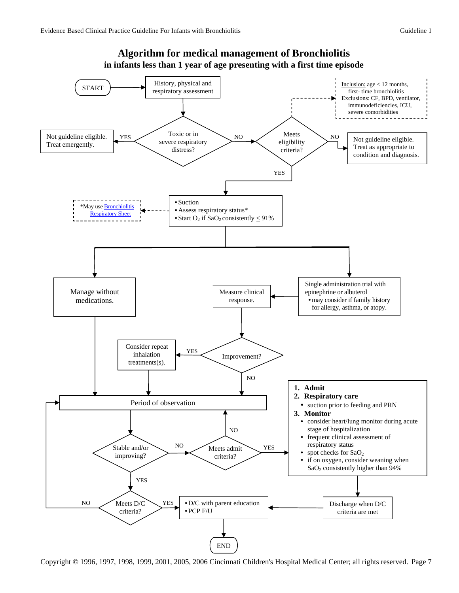

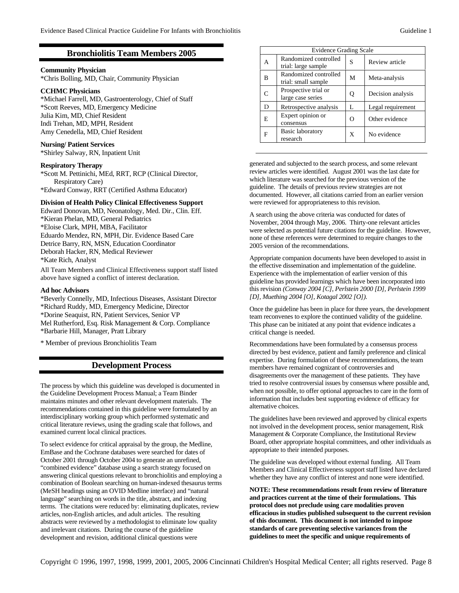## **Bronchiolitis Team Members 2005**

#### **Nursing/ Patient Services**

\*Shirley Salway, RN, Inpatient Unit

#### **Respiratory Therapy**

\*Scott M. Pettinichi, MEd, RRT, RCP (Clinical Director, Respiratory Care) \*Edward Conway, RRT (Certified Asthma Educator)

**Division of Health Policy Clinical Effectiveness Support**  Edward Donovan, MD, Neonatology, Med. Dir., Clin. Eff. \*Kieran Phelan, MD, General Pediatrics \*Eloise Clark, MPH, MBA, Facilitator Eduardo Mendez, RN, MPH, Dir. Evidence Based Care Detrice Barry, RN, MSN, Education Coordinator Deborah Hacker, RN, Medical Reviewer \*Kate Rich, Analyst

All Team Members and Clinical Effectiveness support staff listed above have signed a conflict of interest declaration.

#### **Ad hoc Advisors**

\*Beverly Connelly, MD, Infectious Diseases, Assistant Director \*Richard Ruddy, MD, Emergency Medicine, Director \*Dorine Seaquist, RN, Patient Services, Senior VP Mel Rutherford, Esq. Risk Management & Corp. Compliance \*Barbarie Hill, Manager, Pratt Library

\* Member of previous Bronchiolitis Team

#### **Development Process**

The process by which this guideline was developed is documented in the Guideline Development Process Manual; a Team Binder maintains minutes and other relevant development materials. The recommendations contained in this guideline were formulated by an interdisciplinary working group which performed systematic and critical literature reviews, using the grading scale that follows, and examined current local clinical practices.

To select evidence for critical appraisal by the group, the Medline, EmBase and the Cochrane databases were searched for dates of October 2001 through October 2004 to generate an unrefined, "combined evidence" database using a search strategy focused on answering clinical questions relevant to bronchiolitis and employing a combination of Boolean searching on human-indexed thesaurus terms (MeSH headings using an OVID Medline interface) and "natural language" searching on words in the title, abstract, and indexing terms. The citations were reduced by: eliminating duplicates, review articles, non-English articles, and adult articles. The resulting abstracts were reviewed by a methodologist to eliminate low quality and irrelevant citations. During the course of the guideline development and revision, additional clinical questions were

|                                                                                                                        |               |                                              | <b>Evidence Grading Scale</b> |                   |  |  |
|------------------------------------------------------------------------------------------------------------------------|---------------|----------------------------------------------|-------------------------------|-------------------|--|--|
| <b>Bronchiolitis Team Members 2005</b><br><b>Community Physician</b><br>*Chris Bolling, MD, Chair, Community Physician | A             | Randomized controlled<br>trial: large sample | S                             | Review article    |  |  |
|                                                                                                                        | B             | Randomized controlled<br>trial: small sample | M                             | Meta-analysis     |  |  |
| <b>CCHMC Physicians</b><br>*Michael Farrell, MD, Gastroenterology, Chief of Staff                                      | $\mathcal{C}$ | Prospective trial or<br>large case series    | $\mathbf Q$                   | Decision analysis |  |  |
| *Scott Reeves, MD, Emergency Medicine                                                                                  | D             | Retrospective analysis                       | L                             | Legal requirement |  |  |
| Julia Kim, MD, Chief Resident<br>Indi Trehan, MD, MPH, Resident                                                        | E             | Expert opinion or<br>consensus               | $\Omega$                      | Other evidence    |  |  |
| Amy Cenedella, MD, Chief Resident<br>Nurcing/ Potiont Services                                                         | F             | <b>Basic laboratory</b><br>research          | X                             | No evidence       |  |  |

generated and subjected to the search process, and some relevant review articles were identified. August 2001 was the last date for which literature was searched for the previous version of the guideline. The details of previous review strategies are not documented. However, all citations carried from an earlier version were reviewed for appropriateness to this revision.

A search using the above criteria was conducted for dates of November, 2004 through May, 2006. Thirty-one relevant articles were selected as potential future citations for the guideline. However, none of these references were determined to require changes to the 2005 version of the recommendations.

Appropriate companion documents have been developed to assist in the effective dissemination and implementation of the guideline. Experience with the implementation of earlier version of this guideline has provided learnings which have been incorporated into this revision *(Conway 2004 [C], Perlstein 2000 [D], Perlstein 1999 [D], Muething 2004 [O], Kotagal 2002 [O])*.

Once the guideline has been in place for three years, the development team reconvenes to explore the continued validity of the guideline. This phase can be initiated at any point that evidence indicates a critical change is needed.

Recommendations have been formulated by a consensus process directed by best evidence, patient and family preference and clinical expertise. During formulation of these recommendations, the team members have remained cognizant of controversies and disagreements over the management of these patients. They have tried to resolve controversial issues by consensus where possible and, when not possible, to offer optional approaches to care in the form of information that includes best supporting evidence of efficacy for alternative choices.

The guidelines have been reviewed and approved by clinical experts not involved in the development process, senior management, Risk Management & Corporate Compliance, the Institutional Review Board, other appropriate hospital committees, and other individuals as appropriate to their intended purposes.

The guideline was developed without external funding. All Team Members and Clinical Effectiveness support staff listed have declared whether they have any conflict of interest and none were identified.

**NOTE: These recommendations result from review of literature and practices current at the time of their formulations. This protocol does not preclude using care modalities proven efficacious in studies published subsequent to the current revision of this document. This document is not intended to impose standards of care preventing selective variances from the guidelines to meet the specific and unique requirements of**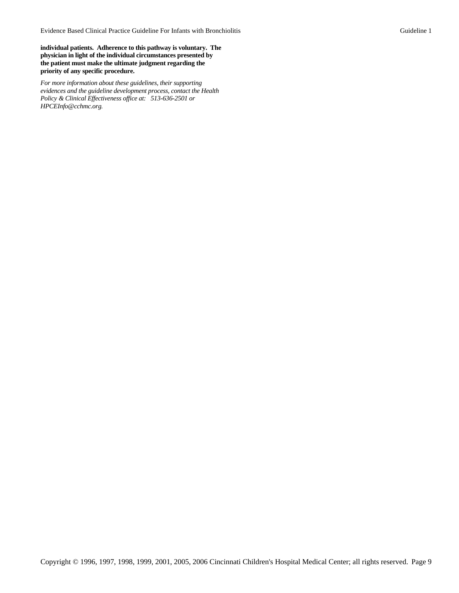**individual patients. Adherence to this pathway is voluntary. The physician in light of the individual circumstances presented by the patient must make the ultimate judgment regarding the priority of any specific procedure.**

*[For more information about these guidelines, their supporting](mailto:HPCEInfo@chmcc.org)  [evidences and the guideline development process, contact the Health](mailto:HPCEInfo@chmcc.org)  [Policy & Clinical Effectiveness office at: 513-636-2501 or](mailto:HPCEInfo@chmcc.org)  [HPCEInfo@cchmc.org](mailto:HPCEInfo@chmcc.org).*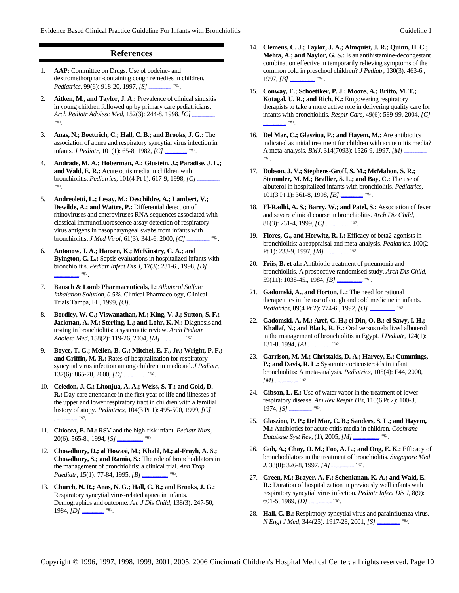#### **References**

- 1. **AAP:** Committee on Drugs. Use of codeine- and dextromethorphan-containing cough remedies in children. *Pediatrics, 99(6): 918-20, 1997, [S]* **http://www.ncbi.nlm.ni**
- 2. **Aitken, M., and Taylor, J. A.:** Prevalence of clinical sinusitis in young children followed up by primary care pediatricians. *Arch Pediatr Adolesc Med, 152(3): 244-8, 1998, [C]*  $\Box$  $\bigoplus$
- 3. **Anas, N.; Boettrich, C.; Hall, C. B.; and Brooks, J. G.:** The association of apnea and respiratory syncytial virus infection in infants. *J Pediatr*, 101(1): 65-8, 1982, *[C]* \_\_
- 4. **Andrade, M. A.; Hoberman, A.; Glustein, J.; Paradise, J. L.; and Wald, E. R.:** Acute otitis media in children with bronchiolitis. *Pediatrics*, 101(4 Pt 1): 617-9, 1998, *[C]* ...  $\circ$
- 5. **Andreoletti, L.; Lesay, M.; Deschildre, A.; Lambert, V.; Dewilde, A.; and Wattre, P.:** Differential detection of rhinoviruses and enteroviruses RNA sequences associated with classical immunofluorescence assay detection of respiratory virus antigens in nasopharyngeal swabs from infants with bronchiolitis. *J Med Virol*, 61(3): 341-6, 2000, *[C]* **http://www.ncbi.nlm.ni**
- 6. **Antonow, J. A.; Hansen, K.; McKinstry, C. A.; and Byington, C. L.:** Sepsis evaluations in hospitalized infants with bronchiolitis. *Pediatr Infect Dis J,* 17(3): 231-6., 1998, *[D]*   $\bullet$
- 7. **Bausch & Lomb Pharmaceuticals, I.:** *Albuterol Sulfate Inhalation Solution, 0.5%.* Clinical Pharmacology, Clinical Trials Tampa, FL, 1999, *[O]*.
- 8. **Bordley, W. C.; Viswanathan, M.; King, V. J.; Sutton, S. F.; Jackman, A. M.; Sterling, L.; and Lohr, K. N.:** Diagnosis and testing in bronchiolitis: a systematic review. *Arch Pediatr Adolesc Med, 158(2): 119-26, 2004, [M]* **http://www.ncbi.nlm.ni**
- 9. **Boyce, T. G.; Mellen, B. G.; Mitchel, E. F., Jr.; Wright, P. F.; and Griffin, M. R.:** Rates of hospitalization for respiratory syncytial virus infection among children in medicaid. *J Pediatr,*  137(6): 865-70, 2000, *[D]* **http://www.ncbi.nlm.ni**
- 10. **Celedon, J. C.; Litonjua, A. A.; Weiss, S. T.; and Gold, D. R.:** Day care attendance in the first year of life and illnesses of the upper and lower respiratory tract in children with a familial history of atopy. *Pediatrics,* 104(3 Pt 1): 495-500, 1999, *[C]*   $\bigcirc$
- 11. **Chiocca, E. M.:** RSV and the high-risk infant. *Pediatr Nurs,*  20(6): 565-8., 1994, *[S]* **http://www.ncbi.nlm.ni**ve.
- 12. **Chowdhury, D.; al Howasi, M.; Khalil, M.; al-Frayh, A. S.; Chowdhury, S.; and Ramia, S.:** The role of bronchodilators in the management of bronchiolitis: a clinical trial. *Ann Trop Paediatr, 15(1): 77-84, 1995, [B]* **http://www.ncbi.nlm.ni**
- 13. **Church, N. R.; Anas, N. G.; Hall, C. B.; and Brooks, J. G.:** Respiratory syncytial virus-related apnea in infants. Demographics and outcome. *Am J Dis Child,* 138(3): 247-50, 1984, *[D]* **http://www.ncbi.nimediation**
- 14. **Clemens, C. J.; Taylor, J. A.; Almquist, J. R.; Quinn, H. C.; Mehta, A.; and Naylor, G. S.:** Is an antihistamine-decongestant combination effective in temporarily relieving symptoms of the common cold in preschool children? *J Pediatr,* 130(3): 463-6., 1997, *[B]* **http://www.nihelistan.org/**
- 15. **Conway, E.; Schoettker, P. J.; Moore, A.; Britto, M. T.; Kotagal, U. R.; and Rich, K.:** Empowering respiratory therapists to take a more active role in delivering quality care for infants with bronchiolitis. *Respir Care,* 49(6): 589-99, 2004, *[C]*   $\mathbb{G}$ .
- 16. **Del Mar, C.; Glasziou, P.; and Hayem, M.:** Are antibiotics indicated as initial treatment for children with acute otitis media? A meta-analysis. *BMJ*, 314(7093): 1526-9, 1997, [M]  $\_$  $\circ$
- 17. **Dobson, J. V.; Stephens-Groff, S. M.; McMahon, S. R.; Stemmler, M. M.; Brallier, S. L.; and Bay, C.:** The use of albuterol in hospitalized infants with bronchiolitis. *Pediatrics,*  101(3 Pt 1): 361-8, 1998, *[B]* **http://www.ncbi.nlm.ni**
- 18. **El-Radhi, A. S.; Barry, W.; and Patel, S.:** Association of fever and severe clinical course in bronchiolitis. *Arch Dis Child,*  81(3): 231-4, 1999, *[C]* **http://www.ncbi.nlm.nih.gov/entre**.
- 19. **Flores, G., and Horwitz, R. I.:** Efficacy of beta2-agonists in bronchiolitis: a reappraisal and meta-analysis. *Pediatrics,* 100(2 Pt 1): 233-9, 1997, *[M]* **http://www.ncbi.nlm.nih.gov/entre**
- 20. **Friis, B. et al.:** Antibiotic treatment of pneumonia and bronchiolitis. A prospective randomised study. *Arch Dis Child,*   $59(11): 1038-45., 1984, [B]$ <sub>tter</sub> $\bullet$ .
- 21. **Gadomski, A., and Horton, L.:** The need for rational therapeutics in the use of cough and cold medicine in infants. *Pediatrics, 89(4 Pt 2): 774-6., 1992, [O]* <u>...</u>
- 22. **Gadomski, A. M.; Aref, G. H.; el Din, O. B.; el Sawy, I. H.; Khallaf, N.; and Black, R. E.:** Oral versus nebulized albuterol in the management of bronchiolitis in Egypt. *J Pediatr,* 124(1):  $131-8$ , 1994,  $[A]$  **mulles**.
- 23. **Garrison, M. M.; Christakis, D. A.; Harvey, E.; Cummings, P.; and Davis, R. L.:** Systemic corticosteroids in infant bronchiolitis: A meta-analysis. *Pediatrics,* 105(4): E44, 2000, *[M]*  $\frac{1}{\sqrt{M}}$
- 24. **Gibson, L. E.:** Use of water vapor in the treatment of lower respiratory disease. *Am Rev Respir Dis,* 110(6 Pt 2): 100-3, 1974, *[S]* **http://www.ncbi.nlm.**nih.gov/entre
- 25. **Glasziou, P. P.; Del Mar, C. B.; Sanders, S. L.; and Hayem, M.:** Antibiotics for acute otitis media in children. *Cochrane Database Syst Rev, (1), 2005, [M]* **http://www.ncbi.nlm.nih.gov/entrepres/**
- 26. **Goh, A.; Chay, O. M.; Foo, A. L.; and Ong, E. K.:** Efficacy of bronchodilators in the treatment of bronchiolitis. *Singapore Med J,* 38(8): 326-8, 1997, *[A]* [http://www.ncbi.nlm.nih.gov/entrez/query.fcgi?cmd=Retrieve&db=PubMed&dopt=Citation&list\\_uids=9364884](http://www.ncbi.nlm.nih.gov/entrez/query.fcgi?cmd=Retrieve&db=PubMed&dopt=Citation&list_uids=9364884) (.
- 27. **Green, M.; Brayer, A. F.; Schenkman, K. A.; and Wald, E. R.:** Duration of hospitalization in previously well infants with respiratory syncytial virus infection. *Pediatr Infect Dis J,* 8(9):  $601-5, 1989, [D]$  **in the PubMed**.
- 28. **Hall, C. B.:** Respiratory syncytial virus and parainfluenza virus. *N Engl J Med,* 344(25): 1917-28, 2001, *[S]* **http://www.ncbi.nlm.ni**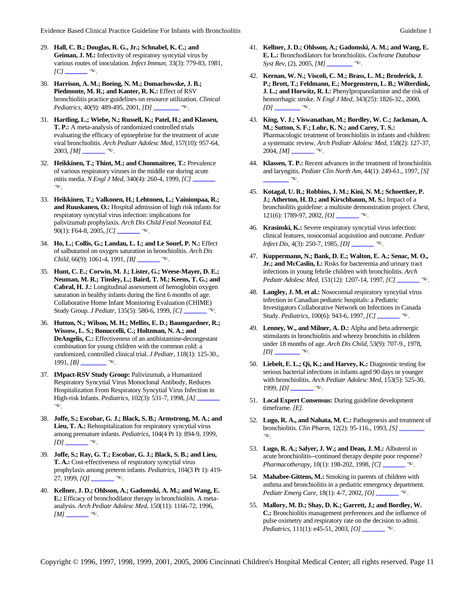- 29. **Hall, C. B.; Douglas, R. G., Jr.; Schnabel, K. C.; and Geiman, J. M.:** Infectivity of respiratory syncytial virus by various routes of inoculation. *Infect Immun,* 33(3): 779-83, 1981,  $[Cl]$
- 30. **Harrison, A. M.; Boeing, N. M.; Domachowske, J. B.; Piedmonte, M. R.; and Kanter, R. K.:** Effect of RSV bronchiolitis practice guidelines on resource utilization. *Clinical Pediatrics,* 40(9): 489-495, 2001, *[D]* **http://www.ncbi.nlm.nih.gov/entre**
- 31. **Hartling, L.; Wiebe, N.; Russell, K.; Patel, H.; and Klassen, T. P.:** A meta-analysis of randomized controlled trials evaluating the efficacy of epinephrine for the treatment of acute viral bronchiolitis. *Arch Pediatr Adolesc Med,* 157(10): 957-64,  $2003, [M]$   $\frac{1}{\sqrt{2}}$
- 32. **Heikkinen, T.; Thint, M.; and Chonmaitree, T.:** Prevalence of various respiratory viruses in the middle ear during acute otitis media. *N Engl J Med*, 340(4): 260-4, 1999, [C].  $\bigoplus$
- 33. **Heikkinen, T.; Valkonen, H.; Lehtonen, L.; Vainionpaa, R.; and Ruuskanen, O.:** Hospital admission of high risk infants for respiratory syncytial virus infection: implications for palivizumab prophylaxis. *Arch Dis Child Fetal Neonatal Ed,*  90(1): F64-8, 2005, *[C]* **http://www.ncbi.nlm.ni**ve.
- 34. **Ho, L.; Collis, G.; Landau, L. I.; and Le Souef, P. N.:** Effect of salbutamol on oxygen saturation in bronchiolitis. *Arch Dis Child,*  $66(9)$ : 1061-4, 1991,  $\overline{B}$   $\overline{\phantom{B}}$ .
- 35. **Hunt, C. E.; Corwin, M. J.; Lister, G.; Weese-Mayer, D. E.; Neuman, M. R.; Tinsley, L.; Baird, T. M.; Keens, T. G.; and Cabral, H. J.:** Longitudinal assessment of hemoglobin oxygen saturation in healthy infants during the first 6 months of age. Collaborative Home Infant Monitoring Evaluation (CHIME) Study Group. *J Pediatr*, 135(5): 580-6, 1999, [C].
- 36. **Hutton, N.; Wilson, M. H.; Mellits, E. D.; Baumgardner, R.; Wissow, L. S.; Bonuccelli, C.; Holtzman, N. A.; and DeAngelis, C.:** Effectiveness of an antihistamine-decongestant combination for young children with the common cold: a randomized, controlled clinical trial. *J Pediatr,* 118(1): 125-30.,  $1991, [B]$  **html.**  $\mathbb{R}$
- 37. **IMpact-RSV Study Group:** Palivizumab, a Humanized Respiratory Syncytial Virus Monoclonal Antibody, Reduces Hospitalization From Respiratory Syncytial Virus Infection in High-risk Infants. *Pediatrics*, 102(3): 531-7, 1998, [A]. (.
- 38. **Joffe, S.; Escobar, G. J.; Black, S. B.; Armstrong, M. A.; and Lieu, T. A.:** Rehospitalization for respiratory syncytial virus among premature infants. *Pediatrics,* 104(4 Pt 1): 894-9, 1999,  $[D]$   $\longrightarrow$
- 39. **Joffe, S.; Ray, G. T.; Escobar, G. J.; Black, S. B.; and Lieu, T. A.:** Cost-effectiveness of respiratory syncytial virus prophylaxis among preterm infants. *Pediatrics,* 104(3 Pt 1): 419- 27, 1999, *[Q]* **https://www.ncbi.nimediation**.
- 40. **Kellner, J. D.; Ohlsson, A.; Gadomski, A. M.; and Wang, E. E.:** Efficacy of bronchodilator therapy in bronchiolitis. A metaanalysis. *Arch Pediatr Adolesc Med,* 150(11): 1166-72, 1996, *[M]*  $\rightarrow$
- 41. **Kellner, J. D.; Ohlsson, A.; Gadomski, A. M.; and Wang, E. E. L.:** Bronchodilators for bronchiolitis. *Cochrane Database Syst Rev, (2), 2005,*  $[M]$   $\longrightarrow$
- 42. **Kernan, W. N.; Viscoli, C. M.; Brass, L. M.; Broderick, J. P.; Brott, T.; Feldmann, E.; Morgenstern, L. B.; Wilterdink, J. L.; and Horwitz, R. I.:** Phenylpropanolamine and the risk of hemorrhagic stroke. *N Engl J Med,* 343(25): 1826-32., 2000, *[D]*  $e^{\frac{m}{2}}$
- 43. **King, V. J.; Viswanathan, M.; Bordley, W. C.; Jackman, A. M.; Sutton, S. F.; Lohr, K. N.; and Carey, T. S.:** Pharmacologic treatment of bronchiolitis in infants and children: a systematic review. *Arch Pediatr Adolesc Med,* 158(2): 127-37, 2004, *[M]* **http://www.ncbi.nlm.ni**
- 44. **Klassen, T. P.:** Recent advances in the treatment of bronchiolitis and laryngitis. *Pediatr Clin North Am,* 44(1): 249-61., 1997, *[S]*   $\theta$
- 45. **Kotagal, U. R.; Robbins, J. M.; Kini, N. M.; Schoettker, P. J.; Atherton, H. D.; and Kirschbaum, M. S.:** Impact of a bronchiolitis guideline: a multisite demonstration project. *Chest,*   $121(6): 1789-97, 2002, [O]$  **with**.
- 46. **Krasinski, K.:** Severe respiratory syncytial virus infection: clinical features, nosocomial acquisition and outcome. *Pediatr Infect Dis,* 4(3): 250-7, 1985, *[D]* **http://www.ncbi.nlm.ni**ve.
- 47. **Kuppermann, N.; Bank, D. E.; Walton, E. A.; Senac, M. O., Jr.; and McCaslin, I.:** Risks for bacteremia and urinary tract infections in young febrile children with bronchiolitis. *Arch Pediatr Adolesc Med, 151(12): 1207-14, 1997, [C]* **http://www.ncbi.nlm.ni**
- 48. **Langley, J. M. et al.:** Nosocomial respiratory syncytial virus infection in Canadian pediatric hospitals: a Pediatric Investigators Collaborative Network on Infections in Canada Study. *Pediatrics*, 100(6): 943-6, 1997, *[C]* \_\_
- 49. **Lenney, W., and Milner, A. D.:** Alpha and beta adrenergic stimulants in bronchiolitis and wheezy bronchitis in children under 18 months of age. *Arch Dis Child,* 53(9): 707-9., 1978, *[D]*  $\overline{\phantom{a}}$
- 50. **Liebelt, E. L.; Qi, K.; and Harvey, K.:** Diagnostic testing for serious bacterial infections in infants aged 90 days or younger with bronchiolitis. *Arch Pediatr Adolesc Med,* 153(5): 525-30,  $1999, [D]$  **html.**
- 51. **Local Expert Consensus:** During guideline development timeframe. *[E]*.
- 52. **Lugo, R. A., and Nahata, M. C.:** Pathogenesis and treatment of bronchiolitis. *Clin Pharm,* 12(2): 95-116., 1993, *[S]* [http://www.ncbi.nlm.nih.gov/entrez/query.fcgi?cmd=Retrieve&db=pubmed&dopt=Abstract&list\\_uids=8095871&query\\_hl=63](http://www.ncbi.nlm.nih.gov/entrez/query.fcgi?cmd=Retrieve&db=pubmed&dopt=Abstract&list_uids=8095871&query_hl=63)  $\bigcirc$
- 53. **Lugo, R. A.; Salyer, J. W.; and Dean, J. M.:** Albuterol in acute bronchiolitis--continued therapy despite poor response? *Pharmacotherapy, 18(1): 198-202, 1998, [C]* **http://www.ncbi.nlm.ni**
- 54. **Mahabee-Gittens, M.:** Smoking in parents of children with asthma and bronchiolitis in a pediatric emergency department. *Pediatr Emerg Care,* 18(1): 4-7, 2002, *[O]* [http://www.ncbi.nlm.nih.gov/entrez/query.fcgi?cmd=Retrieve&db=PubMed&dopt=Citation&list\\_uids=11862128](http://www.ncbi.nlm.nih.gov/entrez/query.fcgi?cmd=Retrieve&db=PubMed&dopt=Citation&list_uids=11862128) (.
- 55. **Mallory, M. D.; Shay, D. K.; Garrett, J.; and Bordley, W. C.:** Bronchiolitis management preferences and the influence of pulse oximetry and respiratory rate on the decision to admit. *Pediatrics,* 111(1): e45-51, 2003, *[O]* **http://www.ncbi.nlm.nih.gov/entre**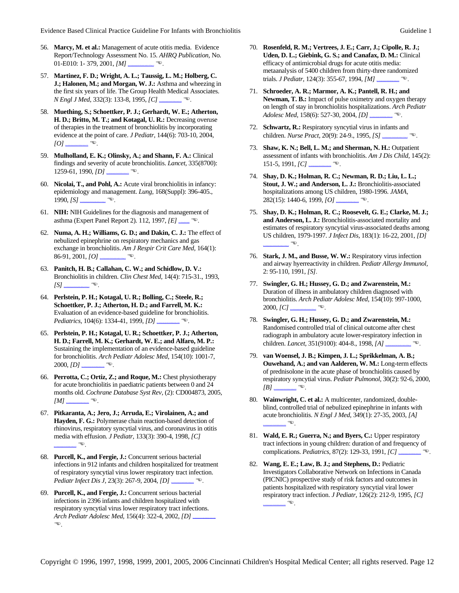- 56. **Marcy, M. et al.:** Management of acute otitis media. Evidence Report/Technology Assessment No. 15. *AHRQ Publication,* No. 01-E010: 1- 379, 2001, *[M]* **http://www.ncbi.nlm.ni**
- 57. **Martinez, F. D.; Wright, A. L.; Taussig, L. M.; Holberg, C. J.; Halonen, M.; and Morgan, W. J.:** Asthma and wheezing in the first six years of life. The Group Health Medical Associates. *N Engl J Med,* 332(3): 133-8, 1995, *[C]* **http://www.ncbi.nlm.nih.gov/entrepres/**
- 58. **Muething, S.; Schoettker, P. J.; Gerhardt, W. E.; Atherton, H. D.; Britto, M. T.; and Kotagal, U. R.:** Decreasing overuse of therapies in the treatment of bronchiolitis by incorporating evidence at the point of care. *J Pediatr,* 144(6): 703-10, 2004, *[O]*  $\overline{\phantom{a}}$
- 59. **Mulholland, E. K.; Olinsky, A.; and Shann, F. A.:** Clinical findings and severity of acute bronchiolitis. *Lancet,* 335(8700):  $1259-61, 1990, [D]$   $\blacksquare$
- 60. **Nicolai, T., and Pohl, A.:** Acute viral bronchiolitis in infancy: epidemiology and management. *Lung,* 168(Suppl): 396-405., 1990, *[S]* **http://www.nihelistan.**
- 61. **NIH:** NIH Guidelines for the diagnosis and management of asthma (Expert Panel Report 2). 112, 1997, *[E]* **http://www.nhlbi.nih.gov/guidelines/asthma**.
- 62. **Numa, A. H.; Williams, G. D.; and Dakin, C. J.:** The effect of nebulized epinephrine on respiratory mechanics and gas exchange in bronchiolitis. *Am J Respir Crit Care Med,* 164(1): 86-91, 2001, *[O]* **http://www.ncbi.nimediate.org/**
- 63. **Panitch, H. B.; Callahan, C. W.; and Schidlow, D. V.:** Bronchiolitis in children. *Clin Chest Med,* 14(4): 715-31., 1993, *[S]* **http://www.nih.jcgi**
- 64. **Perlstein, P. H.; Kotagal, U. R.; Bolling, C.; Steele, R.; Schoettker, P. J.; Atherton, H. D.; and Farrell, M. K.:** Evaluation of an evidence-based guideline for bronchiolitis. *Pediatrics,* 104(6): 1334-41, 1999, *[D]* **http://www.ncbi.nlm.nih.gov/entre**
- 65. **Perlstein, P. H.; Kotagal, U. R.; Schoettker, P. J.; Atherton, H. D.; Farrell, M. K.; Gerhardt, W. E.; and Alfaro, M. P.:** Sustaining the implementation of an evidence-based guideline for bronchiolitis. *Arch Pediatr Adolesc Med,* 154(10): 1001-7, 2000, *[D]* **https://www.ncbi.nimediation**
- 66. **Perrotta, C.; Ortiz, Z.; and Roque, M.:** Chest physiotherapy for acute bronchiolitis in paediatric patients between 0 and 24 months old. *Cochrane Database Syst Rev,* (2): CD004873, 2005,  $[M]$ <sub>http://www.ncbi.nih.nih.gov/entre $M$ </sub>
- 67. **Pitkaranta, A.; Jero, J.; Arruda, E.; Virolainen, A.; and Hayden, F. G.:** Polymerase chain reaction-based detection of rhinovirus, respiratory syncytial virus, and coronavirus in otitis media with effusion. *J Pediatr,* 133(3): 390-4, 1998, *[C]*   $\mathscr{F}$
- 68. **Purcell, K., and Fergie, J.:** Concurrent serious bacterial infections in 912 infants and children hospitalized for treatment of respiratory syncytial virus lower respiratory tract infection. *Pediatr Infect Dis J, 23(3): 267-9, 2004, <i>[D]* **http://www.ncbi.nlm.ni**
- 69. **Purcell, K., and Fergie, J.:** Concurrent serious bacterial infections in 2396 infants and children hospitalized with respiratory syncytial virus lower respiratory tract infections. *Arch Pediatr Adolesc Med, 156(4): 322-4, 2002, [D]* **http://www.ncbi.nlm.ni** (.
- 70. **Rosenfeld, R. M.; Vertrees, J. E.; Carr, J.; Cipolle, R. J.; Uden, D. L.; Giebink, G. S.; and Canafax, D. M.:** Clinical efficacy of antimicrobial drugs for acute otitis media: metaanalysis of 5400 children from thirty-three randomized trials. *J Pediatr,* 124(3): 355-67, 1994, *[M]* [http://www.ncbi.nlm.nih.gov/entrez/query.fcgi?cmd=Retrieve&db=PubMed&dopt=Citation&list\\_uids=8120703](http://www.ncbi.nlm.nih.gov/entrez/query.fcgi?cmd=Retrieve&db=PubMed&dopt=Citation&list_uids=8120703) (.
- 71. **Schroeder, A. R.; Marmor, A. K.; Pantell, R. H.; and Newman, T. B.:** Impact of pulse oximetry and oxygen therapy on length of stay in bronchiolitis hospitalizations. *Arch Pediatr Adolesc Med,* 158(6): 527-30, 2004, *[D]* **http://www.ncbi.nlm.ni**
- 72. **Schwartz, R.:** Respiratory syncytial virus in infants and *children. <i>Nurse Pract,* 20(9): 24-9., 1995, *[S]* **http://www.ncbi.nlm.ni**/web.
- 73. **Shaw, K. N.; Bell, L. M.; and Sherman, N. H.:** Outpatient assessment of infants with bronchiolitis. *Am J Dis Child,* 145(2):  $151-5, 1991, [C]$   $\longrightarrow$
- 74. **Shay, D. K.; Holman, R. C.; Newman, R. D.; Liu, L. L.; Stout, J. W.; and Anderson, L. J.:** Bronchiolitis-associated hospitalizations among US children, 1980-1996. *JAMA,*   $282(15): 1440-6, 1999, [O]$  **in Fug.**
- 75. **Shay, D. K.; Holman, R. C.; Roosevelt, G. E.; Clarke, M. J.; and Anderson, L. J.:** Bronchiolitis-associated mortality and estimates of respiratory syncytial virus-associated deaths among US children, 1979-1997. *J Infect Dis,* 183(1): 16-22, 2001, *[D]*   $\bullet$
- 76. **Stark, J. M., and Busse, W. W.:** Respiratory virus infection and airway hyerreactivity in children. *Pediatr Allergy Immunol,*  2: 95-110, 1991, *[S]*.
- 77. **Swingler, G. H.; Hussey, G. D.; and Zwarenstein, M.:** Duration of illness in ambulatory children diagnosed with bronchiolitis. *Arch Pediatr Adolesc Med,* 154(10): 997-1000, 2000, *[C]* **http://www.ncbi.nlm.ni**
- 78. **Swingler, G. H.; Hussey, G. D.; and Zwarenstein, M.:** Randomised controlled trial of clinical outcome after chest radiograph in ambulatory acute lower-respiratory infection in children. *Lancet*, 351(9100): 404-8., 1998, *[A]* **http://www.ncbi.nlm.nih.gov/entrepublic 404-8**.
- 79. **van Woensel, J. B.; Kimpen, J. L.; Sprikkelman, A. B.; Ouwehand, A.; and van Aalderen, W. M.:** Long-term effects of prednisolone in the acute phase of bronchiolitis caused by respiratory syncytial virus. *Pediatr Pulmonol,* 30(2): 92-6, 2000,  $[B]$   $\longrightarrow$
- 80. **Wainwright, C. et al.:** A multicenter, randomized, doubleblind, controlled trial of nebulized epinephrine in infants with acute bronchiolitis. *N Engl J Med,* 349(1): 27-35, 2003, *[A]*   $\mathbb{G}$
- 81. **Wald, E. R.; Guerra, N.; and Byers, C.:** Upper respiratory tract infections in young children: duration of and frequency of complications. *Pediatrics*, 87(2): 129-33, 1991, *[C]* \_\_
- 82. **Wang, E. E.; Law, B. J.; and Stephens, D.:** Pediatric Investigators Collaborative Network on Infections in Canada (PICNIC) prospective study of risk factors and outcomes in patients hospitalized with respiratory syncytial viral lower respiratory tract infection. *J Pediatr,* 126(2): 212-9, 1995, *[C]*   $\begin{array}{c} \hline \mathbb{R} \end{array}$